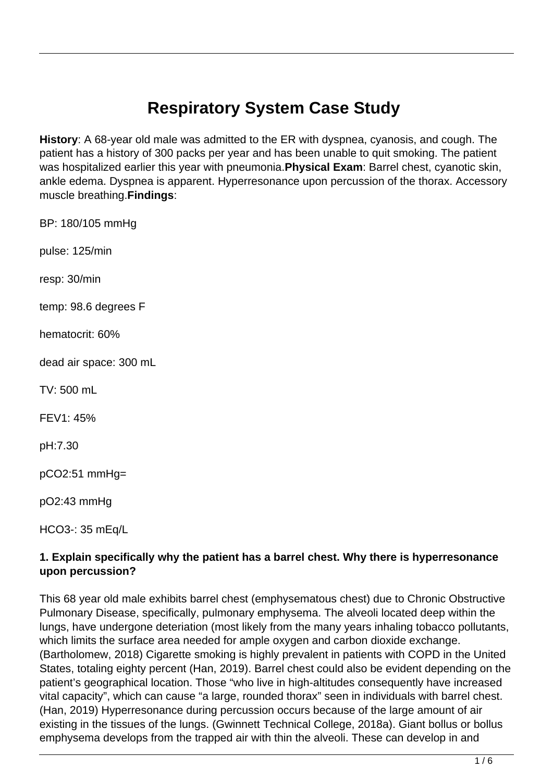# **Respiratory System Case Study**

**History**: A 68-year old male was admitted to the ER with dyspnea, cyanosis, and cough. The patient has a history of 300 packs per year and has been unable to quit smoking. The patient was hospitalized earlier this year with pneumonia.**Physical Exam**: Barrel chest, cyanotic skin, ankle edema. Dyspnea is apparent. Hyperresonance upon percussion of the thorax. Accessory muscle breathing.**Findings**:

BP: 180/105 mmHg

pulse: 125/min

resp: 30/min

temp: 98.6 degrees F

hematocrit: 60%

dead air space: 300 mL

TV: 500 mL

FEV1: 45%

pH:7.30

pCO2:51 mmHg=

pO2:43 mmHg

HCO3-: 35 mEq/L

# **1. Explain specifically why the patient has a barrel chest. Why there is hyperresonance upon percussion?**

This 68 year old male exhibits barrel chest (emphysematous chest) due to Chronic Obstructive Pulmonary Disease, specifically, pulmonary emphysema. The alveoli located deep within the lungs, have undergone deteriation (most likely from the many years inhaling tobacco pollutants, which limits the surface area needed for ample oxygen and carbon dioxide exchange. (Bartholomew, 2018) Cigarette smoking is highly prevalent in patients with COPD in the United States, totaling eighty percent (Han, 2019). Barrel chest could also be evident depending on the patient's geographical location. Those "who live in high-altitudes consequently have increased vital capacity", which can cause "a large, rounded thorax" seen in individuals with barrel chest. (Han, 2019) Hyperresonance during percussion occurs because of the large amount of air existing in the tissues of the lungs. (Gwinnett Technical College, 2018a). Giant bollus or bollus emphysema develops from the trapped air with thin the alveoli. These can develop in and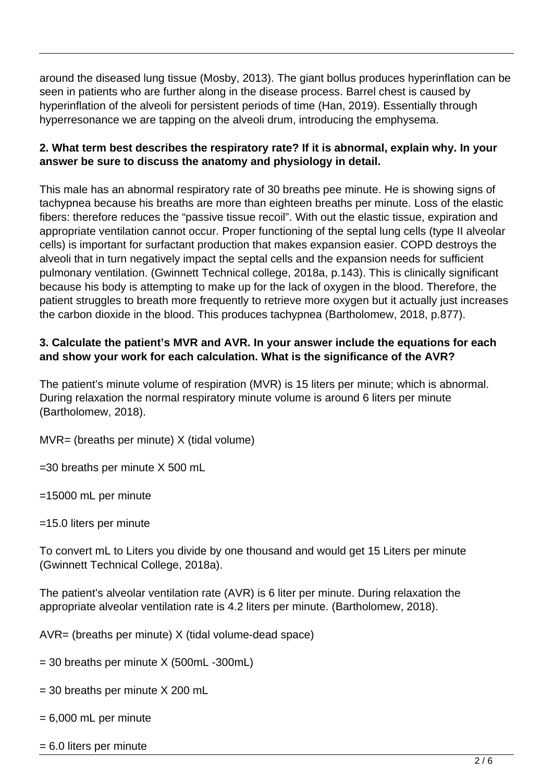around the diseased lung tissue (Mosby, 2013). The giant bollus produces hyperinflation can be seen in patients who are further along in the disease process. Barrel chest is caused by hyperinflation of the alveoli for persistent periods of time (Han, 2019). Essentially through hyperresonance we are tapping on the alveoli drum, introducing the emphysema.

# **2. What term best describes the respiratory rate? If it is abnormal, explain why. In your answer be sure to discuss the anatomy and physiology in detail.**

This male has an abnormal respiratory rate of 30 breaths pee minute. He is showing signs of tachypnea because his breaths are more than eighteen breaths per minute. Loss of the elastic fibers: therefore reduces the "passive tissue recoil". With out the elastic tissue, expiration and appropriate ventilation cannot occur. Proper functioning of the septal lung cells (type II alveolar cells) is important for surfactant production that makes expansion easier. COPD destroys the alveoli that in turn negatively impact the septal cells and the expansion needs for sufficient pulmonary ventilation. (Gwinnett Technical college, 2018a, p.143). This is clinically significant because his body is attempting to make up for the lack of oxygen in the blood. Therefore, the patient struggles to breath more frequently to retrieve more oxygen but it actually just increases the carbon dioxide in the blood. This produces tachypnea (Bartholomew, 2018, p.877).

# **3. Calculate the patient's MVR and AVR. In your answer include the equations for each and show your work for each calculation. What is the significance of the AVR?**

The patient's minute volume of respiration (MVR) is 15 liters per minute; which is abnormal. During relaxation the normal respiratory minute volume is around 6 liters per minute (Bartholomew, 2018).

MVR= (breaths per minute) X (tidal volume)

=30 breaths per minute X 500 mL

=15000 mL per minute

=15.0 liters per minute

To convert mL to Liters you divide by one thousand and would get 15 Liters per minute (Gwinnett Technical College, 2018a).

The patient's alveolar ventilation rate (AVR) is 6 liter per minute. During relaxation the appropriate alveolar ventilation rate is 4.2 liters per minute. (Bartholomew, 2018).

AVR= (breaths per minute) X (tidal volume-dead space)

 $= 30$  breaths per minute X (500mL -300mL)

- = 30 breaths per minute X 200 mL
- $= 6,000$  mL per minute
- = 6.0 liters per minute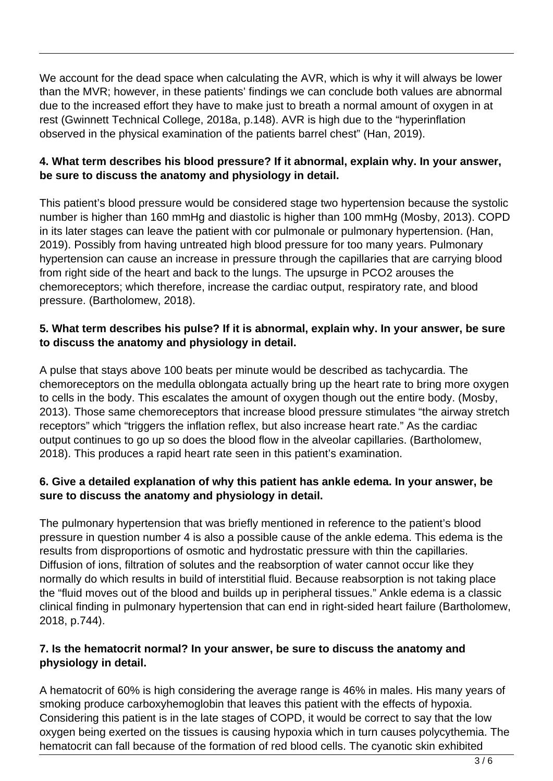We account for the dead space when calculating the AVR, which is why it will always be lower than the MVR; however, in these patients' findings we can conclude both values are abnormal due to the increased effort they have to make just to breath a normal amount of oxygen in at rest (Gwinnett Technical College, 2018a, p.148). AVR is high due to the "hyperinflation observed in the physical examination of the patients barrel chest" (Han, 2019).

# **4. What term describes his blood pressure? If it abnormal, explain why. In your answer, be sure to discuss the anatomy and physiology in detail.**

This patient's blood pressure would be considered stage two hypertension because the systolic number is higher than 160 mmHg and diastolic is higher than 100 mmHg (Mosby, 2013). COPD in its later stages can leave the patient with cor pulmonale or pulmonary hypertension. (Han, 2019). Possibly from having untreated high blood pressure for too many years. Pulmonary hypertension can cause an increase in pressure through the capillaries that are carrying blood from right side of the heart and back to the lungs. The upsurge in PCO2 arouses the chemoreceptors; which therefore, increase the cardiac output, respiratory rate, and blood pressure. (Bartholomew, 2018).

# **5. What term describes his pulse? If it is abnormal, explain why. In your answer, be sure to discuss the anatomy and physiology in detail.**

A pulse that stays above 100 beats per minute would be described as tachycardia. The chemoreceptors on the medulla oblongata actually bring up the heart rate to bring more oxygen to cells in the body. This escalates the amount of oxygen though out the entire body. (Mosby, 2013). Those same chemoreceptors that increase blood pressure stimulates "the airway stretch receptors" which "triggers the inflation reflex, but also increase heart rate." As the cardiac output continues to go up so does the blood flow in the alveolar capillaries. (Bartholomew, 2018). This produces a rapid heart rate seen in this patient's examination.

# **6. Give a detailed explanation of why this patient has ankle edema. In your answer, be sure to discuss the anatomy and physiology in detail.**

The pulmonary hypertension that was briefly mentioned in reference to the patient's blood pressure in question number 4 is also a possible cause of the ankle edema. This edema is the results from disproportions of osmotic and hydrostatic pressure with thin the capillaries. Diffusion of ions, filtration of solutes and the reabsorption of water cannot occur like they normally do which results in build of interstitial fluid. Because reabsorption is not taking place the "fluid moves out of the blood and builds up in peripheral tissues." Ankle edema is a classic clinical finding in pulmonary hypertension that can end in right-sided heart failure (Bartholomew, 2018, p.744).

# **7. Is the hematocrit normal? In your answer, be sure to discuss the anatomy and physiology in detail.**

A hematocrit of 60% is high considering the average range is 46% in males. His many years of smoking produce carboxyhemoglobin that leaves this patient with the effects of hypoxia. Considering this patient is in the late stages of COPD, it would be correct to say that the low oxygen being exerted on the tissues is causing hypoxia which in turn causes polycythemia. The hematocrit can fall because of the formation of red blood cells. The cyanotic skin exhibited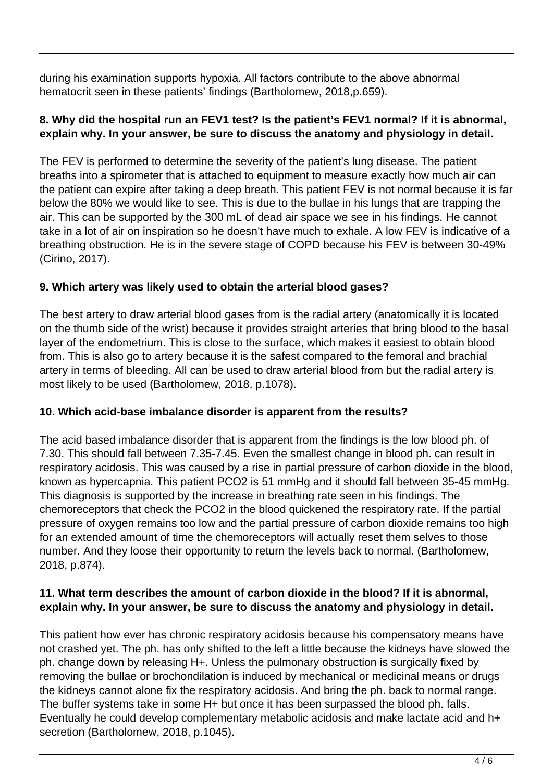during his examination supports hypoxia. All factors contribute to the above abnormal hematocrit seen in these patients' findings (Bartholomew, 2018,p.659).

# **8. Why did the hospital run an FEV1 test? Is the patient's FEV1 normal? If it is abnormal, explain why. In your answer, be sure to discuss the anatomy and physiology in detail.**

The FEV is performed to determine the severity of the patient's lung disease. The patient breaths into a spirometer that is attached to equipment to measure exactly how much air can the patient can expire after taking a deep breath. This patient FEV is not normal because it is far below the 80% we would like to see. This is due to the bullae in his lungs that are trapping the air. This can be supported by the 300 mL of dead air space we see in his findings. He cannot take in a lot of air on inspiration so he doesn't have much to exhale. A low FEV is indicative of a breathing obstruction. He is in the severe stage of COPD because his FEV is between 30-49% (Cirino, 2017).

# **9. Which artery was likely used to obtain the arterial blood gases?**

The best artery to draw arterial blood gases from is the radial artery (anatomically it is located on the thumb side of the wrist) because it provides straight arteries that bring blood to the basal layer of the endometrium. This is close to the surface, which makes it easiest to obtain blood from. This is also go to artery because it is the safest compared to the femoral and brachial artery in terms of bleeding. All can be used to draw arterial blood from but the radial artery is most likely to be used (Bartholomew, 2018, p.1078).

# **10. Which acid-base imbalance disorder is apparent from the results?**

The acid based imbalance disorder that is apparent from the findings is the low blood ph. of 7.30. This should fall between 7.35-7.45. Even the smallest change in blood ph. can result in respiratory acidosis. This was caused by a rise in partial pressure of carbon dioxide in the blood, known as hypercapnia. This patient PCO2 is 51 mmHg and it should fall between 35-45 mmHg. This diagnosis is supported by the increase in breathing rate seen in his findings. The chemoreceptors that check the PCO2 in the blood quickened the respiratory rate. If the partial pressure of oxygen remains too low and the partial pressure of carbon dioxide remains too high for an extended amount of time the chemoreceptors will actually reset them selves to those number. And they loose their opportunity to return the levels back to normal. (Bartholomew, 2018, p.874).

# **11. What term describes the amount of carbon dioxide in the blood? If it is abnormal, explain why. In your answer, be sure to discuss the anatomy and physiology in detail.**

This patient how ever has chronic respiratory acidosis because his compensatory means have not crashed yet. The ph. has only shifted to the left a little because the kidneys have slowed the ph. change down by releasing H+. Unless the pulmonary obstruction is surgically fixed by removing the bullae or brochondilation is induced by mechanical or medicinal means or drugs the kidneys cannot alone fix the respiratory acidosis. And bring the ph. back to normal range. The buffer systems take in some H+ but once it has been surpassed the blood ph. falls. Eventually he could develop complementary metabolic acidosis and make lactate acid and h+ secretion (Bartholomew, 2018, p.1045).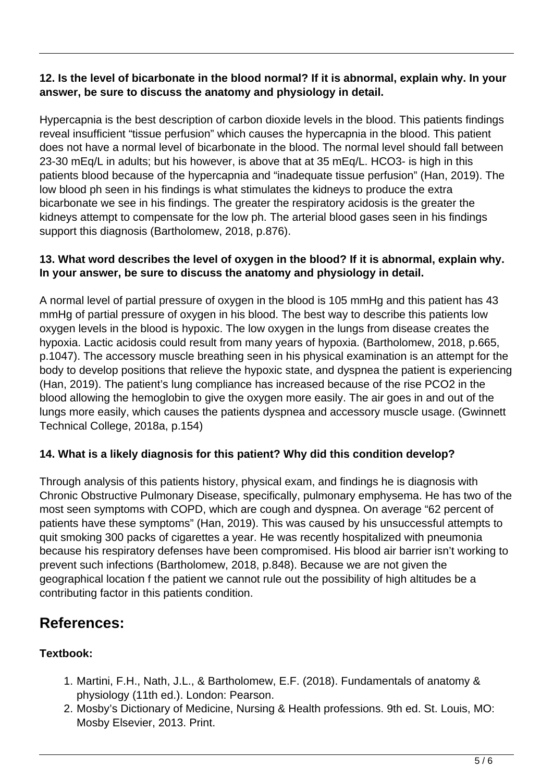# **12. Is the level of bicarbonate in the blood normal? If it is abnormal, explain why. In your answer, be sure to discuss the anatomy and physiology in detail.**

Hypercapnia is the best description of carbon dioxide levels in the blood. This patients findings reveal insufficient "tissue perfusion" which causes the hypercapnia in the blood. This patient does not have a normal level of bicarbonate in the blood. The normal level should fall between 23-30 mEq/L in adults; but his however, is above that at 35 mEq/L. HCO3- is high in this patients blood because of the hypercapnia and "inadequate tissue perfusion" (Han, 2019). The low blood ph seen in his findings is what stimulates the kidneys to produce the extra bicarbonate we see in his findings. The greater the respiratory acidosis is the greater the kidneys attempt to compensate for the low ph. The arterial blood gases seen in his findings support this diagnosis (Bartholomew, 2018, p.876).

# **13. What word describes the level of oxygen in the blood? If it is abnormal, explain why. In your answer, be sure to discuss the anatomy and physiology in detail.**

A normal level of partial pressure of oxygen in the blood is 105 mmHg and this patient has 43 mmHg of partial pressure of oxygen in his blood. The best way to describe this patients low oxygen levels in the blood is hypoxic. The low oxygen in the lungs from disease creates the hypoxia. Lactic acidosis could result from many years of hypoxia. (Bartholomew, 2018, p.665, p.1047). The accessory muscle breathing seen in his physical examination is an attempt for the body to develop positions that relieve the hypoxic state, and dyspnea the patient is experiencing (Han, 2019). The patient's lung compliance has increased because of the rise PCO2 in the blood allowing the hemoglobin to give the oxygen more easily. The air goes in and out of the lungs more easily, which causes the patients dyspnea and accessory muscle usage. (Gwinnett Technical College, 2018a, p.154)

# **14. What is a likely diagnosis for this patient? Why did this condition develop?**

Through analysis of this patients history, physical exam, and findings he is diagnosis with Chronic Obstructive Pulmonary Disease, specifically, pulmonary emphysema. He has two of the most seen symptoms with COPD, which are cough and dyspnea. On average "62 percent of patients have these symptoms" (Han, 2019). This was caused by his unsuccessful attempts to quit smoking 300 packs of cigarettes a year. He was recently hospitalized with pneumonia because his respiratory defenses have been compromised. His blood air barrier isn't working to prevent such infections (Bartholomew, 2018, p.848). Because we are not given the geographical location f the patient we cannot rule out the possibility of high altitudes be a contributing factor in this patients condition.

# **References:**

# **Textbook:**

- 1. Martini, F.H., Nath, J.L., & Bartholomew, E.F. (2018). Fundamentals of anatomy & physiology (11th ed.). London: Pearson.
- 2. Mosby's Dictionary of Medicine, Nursing & Health professions. 9th ed. St. Louis, MO: Mosby Elsevier, 2013. Print.